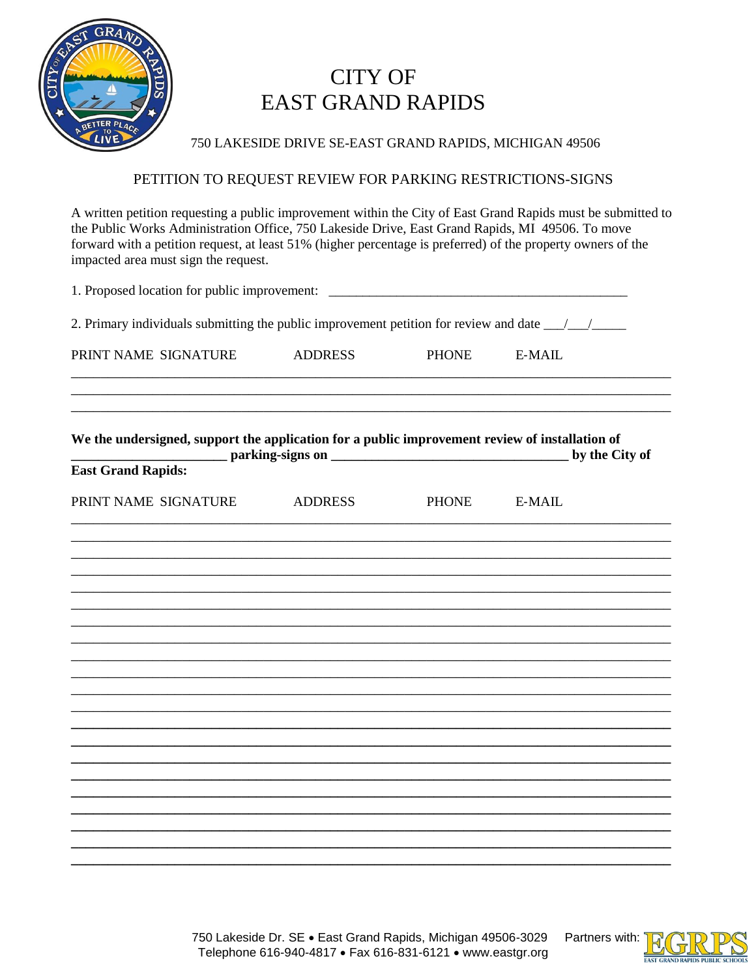

## **CITY OF EAST GRAND RAPIDS**

750 LAKESIDE DRIVE SE-EAST GRAND RAPIDS, MICHIGAN 49506

## PETITION TO REQUEST REVIEW FOR PARKING RESTRICTIONS-SIGNS

A written petition requesting a public improvement within the City of East Grand Rapids must be submitted to the Public Works Administration Office, 750 Lakeside Drive, East Grand Rapids, MI 49506. To move forward with a petition request, at least 51% (higher percentage is preferred) of the property owners of the impacted area must sign the request.

| 1. Proposed location for public improvement: ___________________________________<br>2. Primary individuals submitting the public improvement petition for review and date ______________ |                |              |                |
|------------------------------------------------------------------------------------------------------------------------------------------------------------------------------------------|----------------|--------------|----------------|
|                                                                                                                                                                                          |                |              |                |
| We the undersigned, support the application for a public improvement review of installation of<br><b>East Grand Rapids:</b>                                                              |                |              | by the City of |
| PRINT NAME SIGNATURE                                                                                                                                                                     | <b>ADDRESS</b> | <b>PHONE</b> | <b>E-MAIL</b>  |
|                                                                                                                                                                                          |                |              |                |
|                                                                                                                                                                                          |                |              |                |
|                                                                                                                                                                                          |                |              |                |
|                                                                                                                                                                                          |                |              |                |
|                                                                                                                                                                                          |                |              |                |
|                                                                                                                                                                                          |                |              |                |
|                                                                                                                                                                                          |                |              |                |
|                                                                                                                                                                                          |                |              |                |
|                                                                                                                                                                                          |                |              |                |
|                                                                                                                                                                                          |                |              |                |
|                                                                                                                                                                                          |                |              |                |